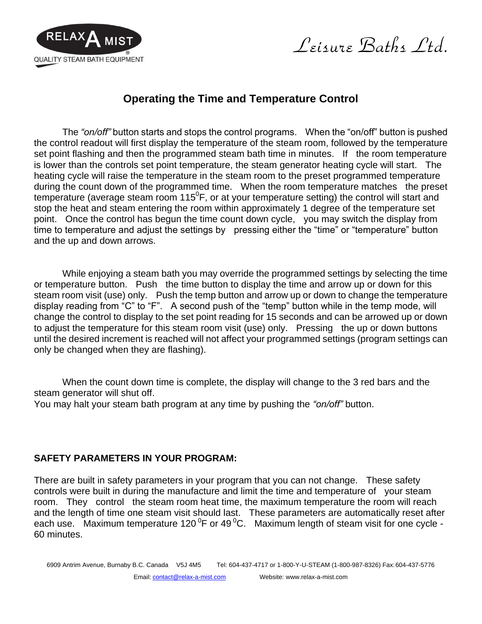

Leisure Baths Ltd.

## **Operating the Time and Temperature Control**

The *"on/off"* button starts and stops the control programs. When the "on/off" button is pushed the control readout will first display the temperature of the steam room, followed by the temperature set point flashing and then the programmed steam bath time in minutes. If the room temperature is lower than the controls set point temperature, the steam generator heating cycle will start. The heating cycle will raise the temperature in the steam room to the preset programmed temperature during the count down of the programmed time. When the room temperature matches the preset temperature (average steam room 115<sup>°</sup>F, or at your temperature setting) the control will start and stop the heat and steam entering the room within approximately 1 degree of the temperature set point. Once the control has begun the time count down cycle, you may switch the display from time to temperature and adjust the settings by pressing either the "time" or "temperature" button and the up and down arrows.

While enjoying a steam bath you may override the programmed settings by selecting the time or temperature button. Push the time button to display the time and arrow up or down for this steam room visit (use) only. Push the temp button and arrow up or down to change the temperature display reading from "C" to "F". A second push of the "temp" button while in the temp mode, will change the control to display to the set point reading for 15 seconds and can be arrowed up or down to adjust the temperature for this steam room visit (use) only. Pressing the up or down buttons until the desired increment is reached will not affect your programmed settings (program settings can only be changed when they are flashing).

When the count down time is complete, the display will change to the 3 red bars and the steam generator will shut off.

You may halt your steam bath program at any time by pushing the *"on/off"* button.

## **SAFETY PARAMETERS IN YOUR PROGRAM:**

There are built in safety parameters in your program that you can not change. These safety controls were built in during the manufacture and limit the time and temperature of your steam room. They control the steam room heat time, the maximum temperature the room will reach and the length of time one steam visit should last. These parameters are automatically reset after each use. Maximum temperature 120<sup>0</sup>F or 49<sup>0</sup>C. Maximum length of steam visit for one cycle -60 minutes.